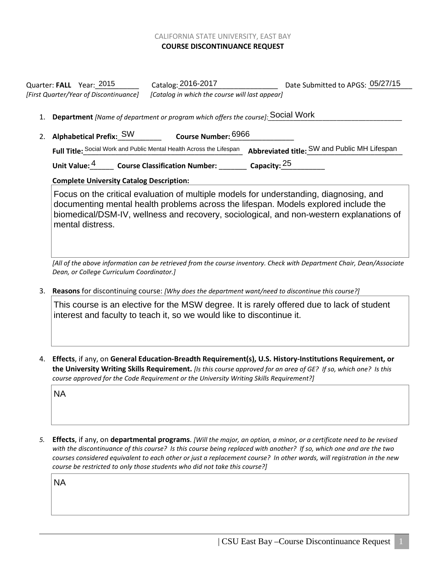## CALIFORNIA STATE UNIVERSITY, EAST BAY **COURSE DISCONTINUANCE REQUEST**

Quarter: FALL Year: 2015 Catalog: 2016-2017 Date Submitted to APGS: 05/27/15 *[First Quarter/Year of Discontinuance] [Catalog in which the course will last appear]*

## 1. **Department** *[Name of department or program which offers the course]:* Social Work

2. Alphabetical Prefix: S<sup>W</sup> 6966 **Course Number:** 2. **Alphabetical Prefix: SW** Full Title: Social Work and Public Mental Health Across the Lifespan Abbreviated title: SW and Public MH Lifespan

Unit Value: <sup>4</sup> **Course Classification Number: Capacity:** <sup>25</sup>

## **Complete University Catalog Description:**

Focus on the critical evaluation of multiple models for understanding, diagnosing, and documenting mental health problems across the lifespan. Models explored include the biomedical/DSM-IV, wellness and recovery, sociological, and non-western explanations of mental distress.

*[All of the above information can be retrieved from the course inventory. Check with Department Chair, Dean/Associate Dean, or College Curriculum Coordinator.]*

3. **Reasons** for discontinuing course: *[Why does the department want/need to discontinue this course?]*

This course is an elective for the MSW degree. It is rarely offered due to lack of student interest and faculty to teach it, so we would like to discontinue it.

4. **Effects**, if any, on **General Education-Breadth Requirement(s), U.S. History-Institutions Requirement, or the University Writing Skills Requirement.** *[Is this course approved for an area of GE? If so, which one? Is this course approved for the Code Requirement or the University Writing Skills Requirement?]*

**NA** 

*5.* **Effects**, if any, on **departmental programs**. *[Will the major, an option, a minor, or a certificate need to be revised with the discontinuance of this course? Is this course being replaced with another? If so, which one and are the two courses considered equivalent to each other or just a replacement course? In other words, will registration in the new course be restricted to only those students who did not take this course?]* NA<br>Effe<br>Effe<br>sour<br>NA<br>NA

**NA**